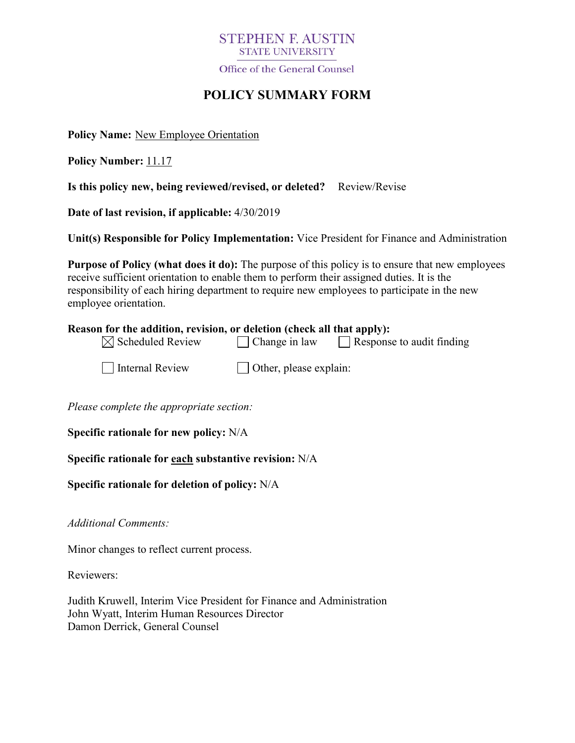## **STEPHEN F. AUSTIN STATE UNIVERSITY**

Office of the General Counsel

# **POLICY SUMMARY FORM**

**Policy Name:** New Employee Orientation

**Policy Number:** 11.17

**Is this policy new, being reviewed/revised, or deleted?** Review/Revise

**Date of last revision, if applicable:** 4/30/2019

**Unit(s) Responsible for Policy Implementation:** Vice President for Finance and Administration

**Purpose of Policy (what does it do):** The purpose of this policy is to ensure that new employees receive sufficient orientation to enable them to perform their assigned duties. It is the responsibility of each hiring department to require new employees to participate in the new employee orientation.

### **Reason for the addition, revision, or deletion (check all that apply):**

| $\boxtimes$ Scheduled Review | $\Box$ Change in law | $\Box$ Response to audit finding |  |
|------------------------------|----------------------|----------------------------------|--|
|------------------------------|----------------------|----------------------------------|--|

| Internal Review |  |
|-----------------|--|
|-----------------|--|

 $\Box$  Other, please explain:

*Please complete the appropriate section:*

**Specific rationale for new policy:** N/A

## **Specific rationale for each substantive revision:** N/A

## **Specific rationale for deletion of policy:** N/A

*Additional Comments:*

Minor changes to reflect current process.

Reviewers:

Judith Kruwell, Interim Vice President for Finance and Administration John Wyatt, Interim Human Resources Director Damon Derrick, General Counsel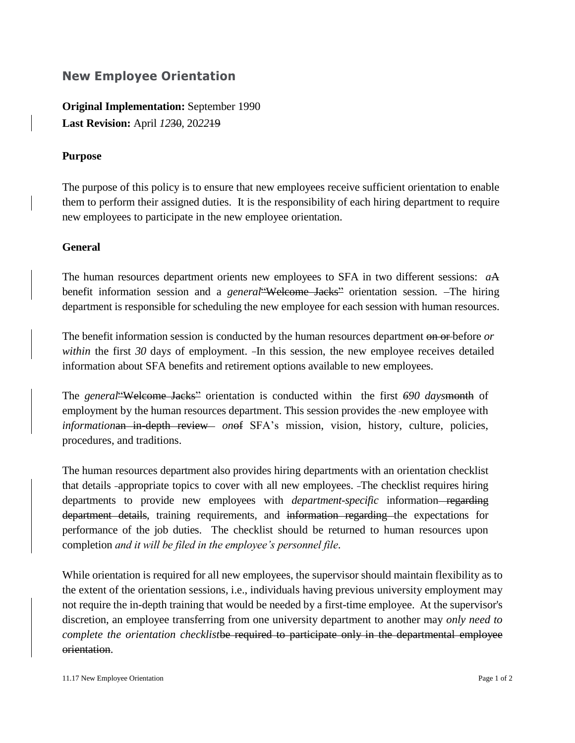## **New Employee Orientation**

**Original Implementation:** September 1990 **Last Revision:** April *12*30, 20*22*19

### **Purpose**

The purpose of this policy is to ensure that new employees receive sufficient orientation to enable them to perform their assigned duties. It is the responsibility of each hiring department to require new employees to participate in the new employee orientation.

### **General**

The human resources department orients new employees to SFA in two different sessions: *a*A benefit information session and a *general*"Welcome Jacks" orientation session. The hiring department is responsible for scheduling the new employee for each session with human resources.

The benefit information session is conducted by the human resources department on or before *or within* the first 30 days of employment. In this session, the new employee receives detailed information about SFA benefits and retirement options available to new employees.

The *general*"Welcome Jacks" orientation is conducted within the first *690 days*month of employment by the human resources department. This session provides the -new employee with *information* in the *in-depth review onef* SFA's mission, vision, history, culture, policies, procedures, and traditions.

The human resources department also provides hiring departments with an orientation checklist that details appropriate topics to cover with all new employees. The checklist requires hiring departments to provide new employees with *department-specific* information—regarding department details, training requirements*,* and information regarding the expectations for performance of the job duties. The checklist should be returned to human resources upon completion *and it will be filed in the employee's personnel file*.

While orientation is required for all new employees, the supervisor should maintain flexibility as to the extent of the orientation sessions, i.e., individuals having previous university employment may not require the in-depth training that would be needed by a first-time employee. At the supervisor's discretion, an employee transferring from one university department to another may *only need to complete the orientation checklist*be required to participate only in the departmental employee orientation.